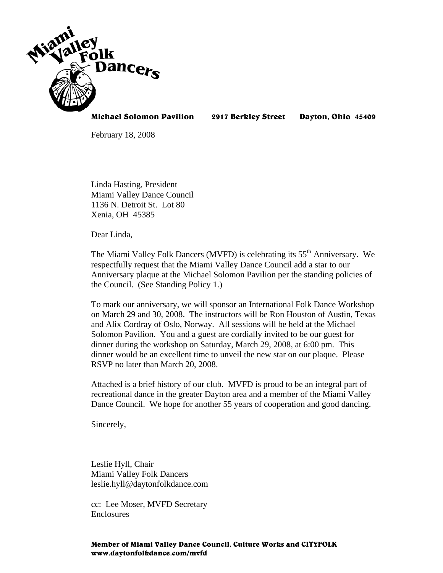

**Michael Solomon Pavilion 2917 Berkley Street Dayton, Ohio 45409** 

February 18, 2008

Linda Hasting, President Miami Valley Dance Council 1136 N. Detroit St. Lot 80 Xenia, OH 45385

Dear Linda,

The Miami Valley Folk Dancers (MVFD) is celebrating its  $55<sup>th</sup>$  Anniversary. We respectfully request that the Miami Valley Dance Council add a star to our Anniversary plaque at the Michael Solomon Pavilion per the standing policies of the Council. (See Standing Policy 1.)

To mark our anniversary, we will sponsor an International Folk Dance Workshop on March 29 and 30, 2008. The instructors will be Ron Houston of Austin, Texas and Alix Cordray of Oslo, Norway. All sessions will be held at the Michael Solomon Pavilion. You and a guest are cordially invited to be our guest for dinner during the workshop on Saturday, March 29, 2008, at 6:00 pm. This dinner would be an excellent time to unveil the new star on our plaque. Please RSVP no later than March 20, 2008.

Attached is a brief history of our club. MVFD is proud to be an integral part of recreational dance in the greater Dayton area and a member of the Miami Valley Dance Council. We hope for another 55 years of cooperation and good dancing.

Sincerely,

Leslie Hyll, Chair Miami Valley Folk Dancers leslie.hyll@daytonfolkdance.com

cc: Lee Moser, MVFD Secretary **Enclosures**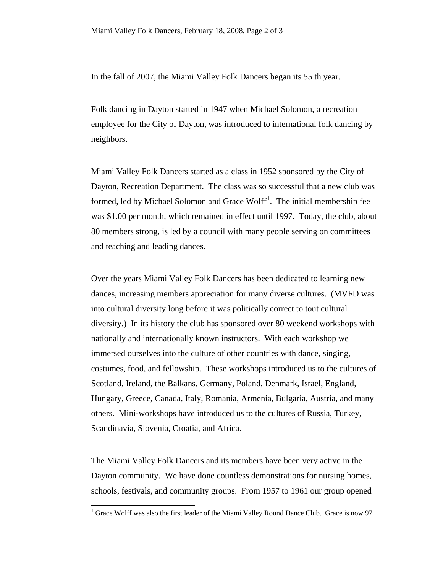In the fall of 2007, the Miami Valley Folk Dancers began its 55 th year.

Folk dancing in Dayton started in 1947 when Michael Solomon, a recreation employee for the City of Dayton, was introduced to international folk dancing by neighbors.

Miami Valley Folk Dancers started as a class in 1952 sponsored by the City of Dayton, Recreation Department. The class was so successful that a new club was formed, led by Michael Solomon and Grace Wolff<sup>[1](#page-1-0)</sup>. The initial membership fee was \$1.00 per month, which remained in effect until 1997. Today, the club, about 80 members strong, is led by a council with many people serving on committees and teaching and leading dances.

Over the years Miami Valley Folk Dancers has been dedicated to learning new dances, increasing members appreciation for many diverse cultures. (MVFD was into cultural diversity long before it was politically correct to tout cultural diversity.) In its history the club has sponsored over 80 weekend workshops with nationally and internationally known instructors. With each workshop we immersed ourselves into the culture of other countries with dance, singing, costumes, food, and fellowship. These workshops introduced us to the cultures of Scotland, Ireland, the Balkans, Germany, Poland, Denmark, Israel, England, Hungary, Greece, Canada, Italy, Romania, Armenia, Bulgaria, Austria, and many others. Mini-workshops have introduced us to the cultures of Russia, Turkey, Scandinavia, Slovenia, Croatia, and Africa.

The Miami Valley Folk Dancers and its members have been very active in the Dayton community. We have done countless demonstrations for nursing homes, schools, festivals, and community groups. From 1957 to 1961 our group opened

 $\overline{a}$ 

<span id="page-1-0"></span> $<sup>1</sup>$  Grace Wolff was also the first leader of the Miami Valley Round Dance Club. Grace is now 97.</sup>